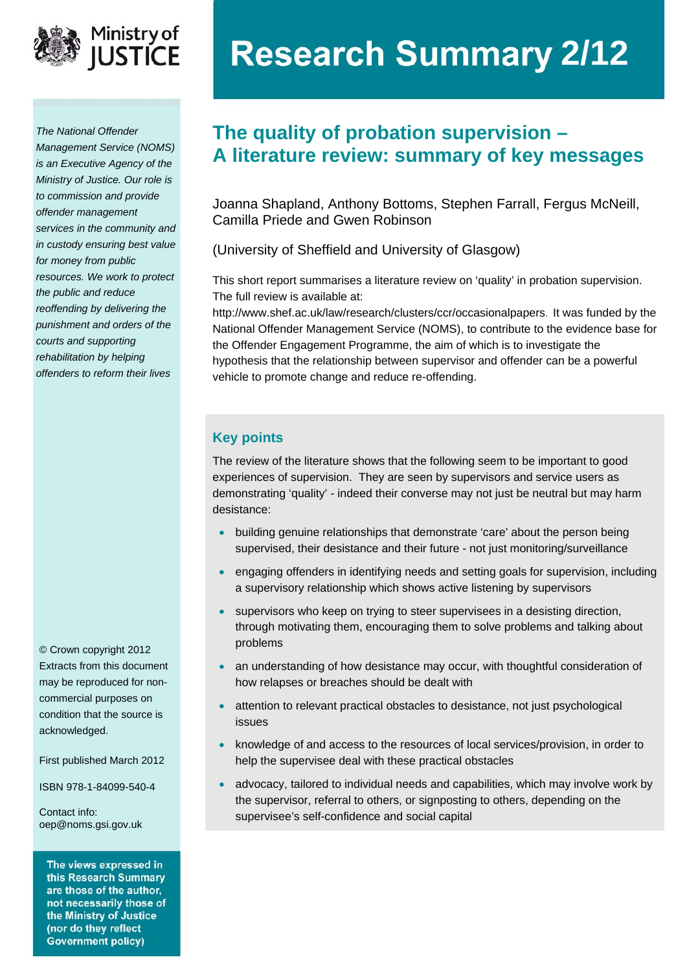

*The National Offender Management Service (NOMS) is an Executive Agency of the Ministry of Justice. Our role is to commission and provide offender management services in the community and in custody ensuring best value for money from public resources. We work to protect the public and reduce reoffending by delivering the punishment and orders of the courts and supporting rehabilitation by helping offenders to reform their lives*

© Crown copyright 2012 Extracts from this document may be reproduced for noncommercial purposes on condition that the source is acknowledged.

First published March 2012

ISBN 978-1-84099-540-4

Contact info: [oep@noms.gsi.gov.uk](mailto:oep@noms.gsi.gov.uk) 

The views expressed in this Research Summary are those of the author, not necessarily those of the Ministry of Justice (nor do they reflect **Government policy)** 

# **Ministry of Research Summary 2/12**

## **The quality of probation supervision – A literature review: summary of key messages**

Joanna Shapland, Anthony Bottoms, Stephen Farrall, Fergus McNeill, Camilla Priede and Gwen Robinson

(University of Sheffield and University of Glasgow)

This short report summarises a literature review on 'quality' in probation supervision. The full review is available at:

[http://www.shef.ac.uk/law/research/clusters/ccr/occasionalpapers.](http://www.shef.ac.uk/law/research/clusters/ccr/occasionalpapers) It was funded by the National Offender Management Service (NOMS), to contribute to the evidence base for the Offender Engagement Programme, the aim of which is to investigate the hypothesis that the relationship between supervisor and offender can be a powerful vehicle to promote change and reduce re-offending.

## **Key points**

The review of the literature shows that the following seem to be important to good experiences of supervision. They are seen by supervisors and service users as demonstrating 'quality' - indeed their converse may not just be neutral but may harm desistance:

- building genuine relationships that demonstrate 'care' about the person being supervised, their desistance and their future - not just monitoring/surveillance
- engaging offenders in identifying needs and setting goals for supervision, including a supervisory relationship which shows active listening by supervisors
- supervisors who keep on trying to steer supervisees in a desisting direction, through motivating them, encouraging them to solve problems and talking about problems
- an understanding of how desistance may occur, with thoughtful consideration of how relapses or breaches should be dealt with
- attention to relevant practical obstacles to desistance, not just psychological issues
- knowledge of and access to the resources of local services/provision, in order to help the supervisee deal with these practical obstacles
- advocacy, tailored to individual needs and capabilities, which may involve work by the supervisor, referral to others, or signposting to others, depending on the supervisee's self-confidence and social capital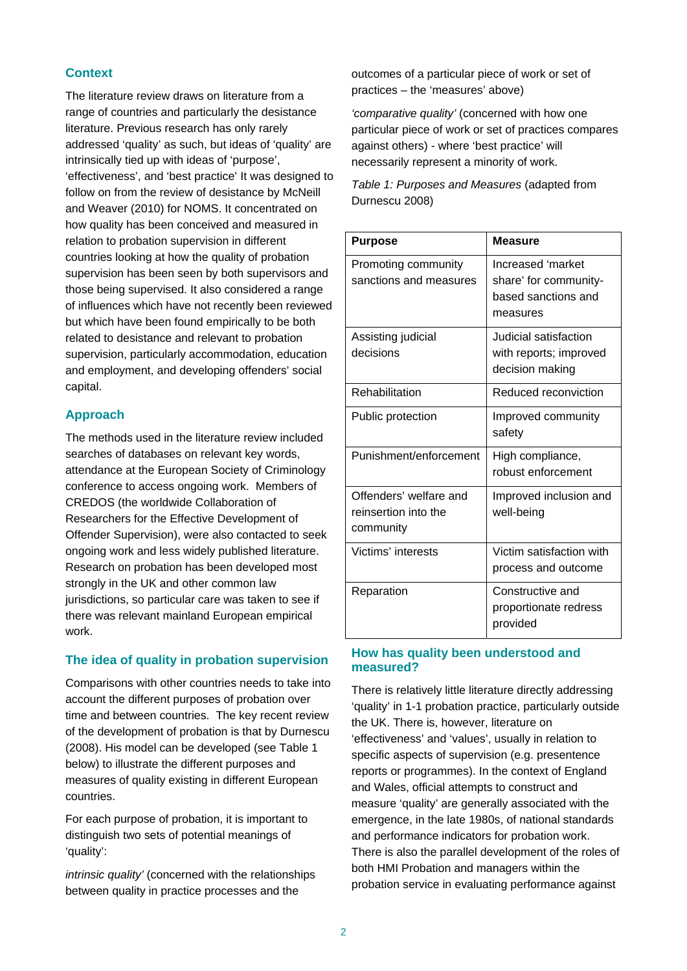## **Context**

The literature review draws on literature from a range of countries and particularly the desistance literature. Previous research has only rarely addressed 'quality' as such, but ideas of 'quality' are intrinsically tied up with ideas of 'purpose', 'effectiveness', and 'best practice' It was designed to follow on from the review of desistance by McNeill and Weaver (2010) for NOMS. It concentrated on how quality has been conceived and measured in relation to probation supervision in different countries looking at how the quality of probation supervision has been seen by both supervisors and those being supervised. It also considered a range of influences which have not recently been reviewed but which have been found empirically to be both related to desistance and relevant to probation supervision, particularly accommodation, education and employment, and developing offenders' social capital.

## **Approach**

The methods used in the literature review included searches of databases on relevant key words, attendance at the European Society of Criminology conference to access ongoing work. Members of CREDOS (the worldwide Collaboration of Researchers for the Effective Development of Offender Supervision), were also contacted to seek ongoing work and less widely published literature. Research on probation has been developed most strongly in the UK and other common law jurisdictions, so particular care was taken to see if there was relevant mainland European empirical work.

## **The idea of quality in probation supervision**

Comparisons with other countries needs to take into account the different purposes of probation over time and between countries. The key recent review of the development of probation is that by Durnescu (2008). His model can be developed (see Table 1 below) to illustrate the different purposes and measures of quality existing in different European countries.

For each purpose of probation, it is important to distinguish two sets of potential meanings of 'quality':

*intrinsic quality'* (concerned with the relationships between quality in practice processes and the

outcomes of a particular piece of work or set of practices – the 'measures' above)

*'comparative quality'* (concerned with how one particular piece of work or set of practices compares against others) - where 'best practice' will necessarily represent a minority of work.

*Table 1: Purposes and Measures* (adapted from Durnescu 2008)

| <b>Purpose</b>                                              | <b>Measure</b>                                                                |
|-------------------------------------------------------------|-------------------------------------------------------------------------------|
| Promoting community<br>sanctions and measures               | Increased 'market<br>share' for community-<br>based sanctions and<br>measures |
| Assisting judicial<br>decisions                             | Judicial satisfaction<br>with reports; improved<br>decision making            |
| Rehabilitation                                              | Reduced reconviction                                                          |
| Public protection                                           | Improved community<br>safety                                                  |
| Punishment/enforcement                                      | High compliance,<br>robust enforcement                                        |
| Offenders' welfare and<br>reinsertion into the<br>community | Improved inclusion and<br>well-being                                          |
| Victims' interests                                          | Victim satisfaction with<br>process and outcome                               |
| Reparation                                                  | Constructive and<br>proportionate redress<br>provided                         |

## **How has quality been understood and measured?**

There is relatively little literature directly addressing 'quality' in 1-1 probation practice, particularly outside the UK. There is, however, literature on 'effectiveness' and 'values', usually in relation to specific aspects of supervision (e.g. presentence reports or programmes). In the context of England and Wales, official attempts to construct and measure 'quality' are generally associated with the emergence, in the late 1980s, of national standards and performance indicators for probation work. There is also the parallel development of the roles of both HMI Probation and managers within the probation service in evaluating performance against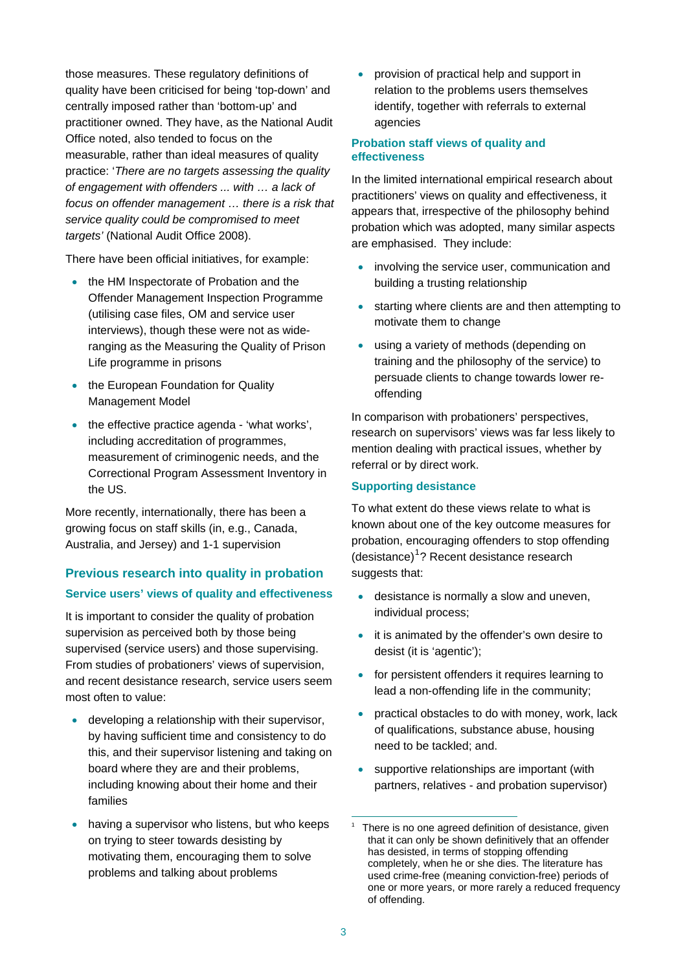those measures. These regulatory definitions of quality have been criticised for being 'top-down' and centrally imposed rather than 'bottom-up' and practitioner owned. They have, as the National Audit Office noted, also tended to focus on the measurable, rather than ideal measures of quality practice: '*There are no targets assessing the quality of engagement with offenders ... with … a lack of focus on offender management … there is a risk that service quality could be compromised to meet targets'* (National Audit Office 2008).

There have been official initiatives, for example:

- the HM Inspectorate of Probation and the Offender Management Inspection Programme (utilising case files, OM and service user interviews), though these were not as wideranging as the Measuring the Quality of Prison Life programme in prisons
- the European Foundation for Quality Management Model
- the effective practice agenda 'what works', including accreditation of programmes, measurement of criminogenic needs, and the Correctional Program Assessment Inventory in the US.

More recently, internationally, there has been a growing focus on staff skills (in, e.g., Canada, Australia, and Jersey) and 1-1 supervision

## **Previous research into quality in probation Service users' views of quality and effectiveness**

It is important to consider the quality of probation supervision as perceived both by those being supervised (service users) and those supervising. From studies of probationers' views of supervision, and recent desistance research, service users seem most often to value:

- developing a relationship with their supervisor, by having sufficient time and consistency to do this, and their supervisor listening and taking on board where they are and their problems, including knowing about their home and their families
- <span id="page-2-0"></span> having a supervisor who listens, but who keeps on trying to steer towards desisting by motivating them, encouraging them to solve problems and talking about problems

 provision of practical help and support in relation to the problems users themselves identify, together with referrals to external agencies

### **Probation staff views of quality and effectiveness**

In the limited international empirical research about practitioners' views on quality and effectiveness, it appears that, irrespective of the philosophy behind probation which was adopted, many similar aspects are emphasised. They include:

- involving the service user, communication and building a trusting relationship
- starting where clients are and then attempting to motivate them to change
- using a variety of methods (depending on training and the philosophy of the service) to persuade clients to change towards lower reoffending

In comparison with probationers' perspectives, research on supervisors' views was far less likely to mention dealing with practical issues, whether by referral or by direct work.

## **Supporting desistance**

To what extent do these views relate to what is known about one of the key outcome measures for probation, encouraging offenders to stop offending (desistance)<sup>[1](#page-2-0)</sup>? Recent desistance research suggests that:

- desistance is normally a slow and uneven, individual process;
- it is animated by the offender's own desire to desist (it is 'agentic');
- for persistent offenders it requires learning to lead a non-offending life in the community;
- practical obstacles to do with money, work, lack of qualifications, substance abuse, housing need to be tackled; and.
- supportive relationships are important (with partners, relatives - and probation supervisor)

<sup>1</sup> 1 There is no one agreed definition of desistance, given that it can only be shown definitively that an offender has desisted, in terms of stopping offending completely, when he or she dies. The literature has used crime-free (meaning conviction-free) periods of one or more years, or more rarely a reduced frequency of offending.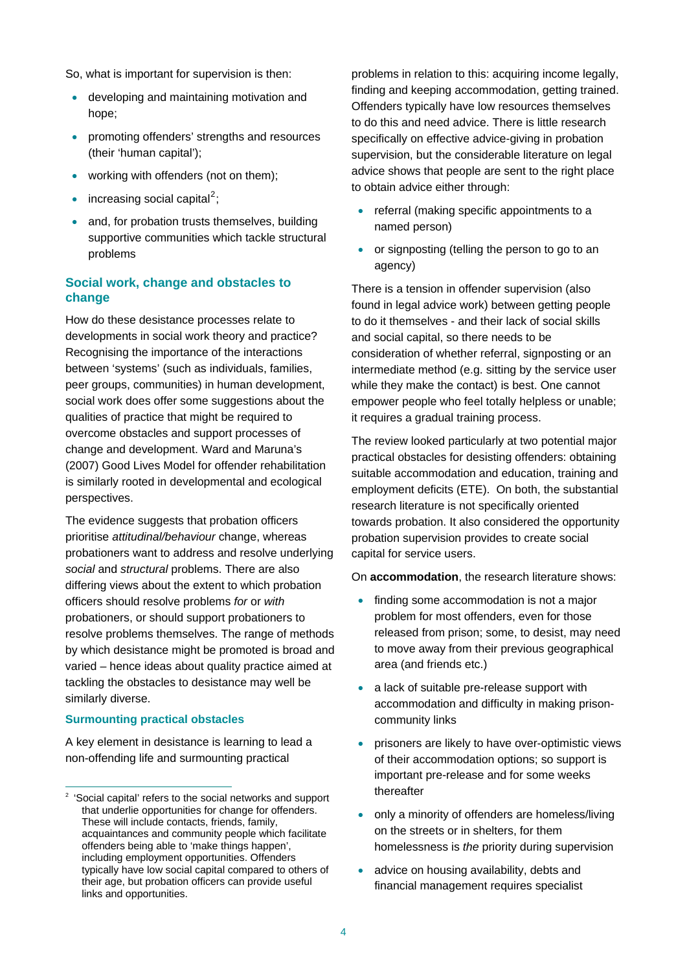So, what is important for supervision is then:

- developing and maintaining motivation and hope;
- promoting offenders' strengths and resources (their 'human capital');
- working with offenders (not on them);
- $\bullet$  increasing social capital<sup>[2](#page-3-0)</sup>;
- and, for probation trusts themselves, building supportive communities which tackle structural problems

## **Social work, change and obstacles to change**

How do these desistance processes relate to developments in social work theory and practice? Recognising the importance of the interactions between 'systems' (such as individuals, families, peer groups, communities) in human development, social work does offer some suggestions about the qualities of practice that might be required to overcome obstacles and support processes of change and development. Ward and Maruna's (2007) Good Lives Model for offender rehabilitation is similarly rooted in developmental and ecological perspectives.

The evidence suggests that probation officers prioritise *attitudinal/behaviour* change, whereas probationers want to address and resolve underlying *social* and *structural* problems. There are also differing views about the extent to which probation officers should resolve problems *for* or *with* probationers, or should support probationers to resolve problems themselves. The range of methods by which desistance might be promoted is broad and varied – hence ideas about quality practice aimed at tackling the obstacles to desistance may well be similarly diverse.

#### **Surmounting practical obstacles**

 $\overline{a}$ 

A key element in desistance is learning to lead a non-offending life and surmounting practical

problems in relation to this: acquiring income legally, finding and keeping accommodation, getting trained. Offenders typically have low resources themselves to do this and need advice. There is little research specifically on effective advice-giving in probation supervision, but the considerable literature on legal advice shows that people are sent to the right place to obtain advice either through:

- referral (making specific appointments to a named person)
- or signposting (telling the person to go to an agency)

There is a tension in offender supervision (also found in legal advice work) between getting people to do it themselves - and their lack of social skills and social capital, so there needs to be consideration of whether referral, signposting or an intermediate method (e.g. sitting by the service user while they make the contact) is best. One cannot empower people who feel totally helpless or unable; it requires a gradual training process.

The review looked particularly at two potential major practical obstacles for desisting offenders: obtaining suitable accommodation and education, training and employment deficits (ETE). On both, the substantial research literature is not specifically oriented towards probation. It also considered the opportunity probation supervision provides to create social capital for service users.

On **accommodation**, the research literature shows:

- finding some accommodation is not a major problem for most offenders, even for those released from prison; some, to desist, may need to move away from their previous geographical area (and friends etc.)
- a lack of suitable pre-release support with accommodation and difficulty in making prisoncommunity links
- prisoners are likely to have over-optimistic views of their accommodation options; so support is important pre-release and for some weeks thereafter
- only a minority of offenders are homeless/living on the streets or in shelters, for them homelessness is *the* priority during supervision
- advice on housing availability, debts and financial management requires specialist

<span id="page-3-0"></span><sup>2</sup> 'Social capital' refers to the social networks and support that underlie opportunities for change for offenders. These will include contacts, friends, family, acquaintances and community people which facilitate offenders being able to 'make things happen', including employment opportunities. Offenders typically have low social capital compared to others of their age, but probation officers can provide useful links and opportunities.